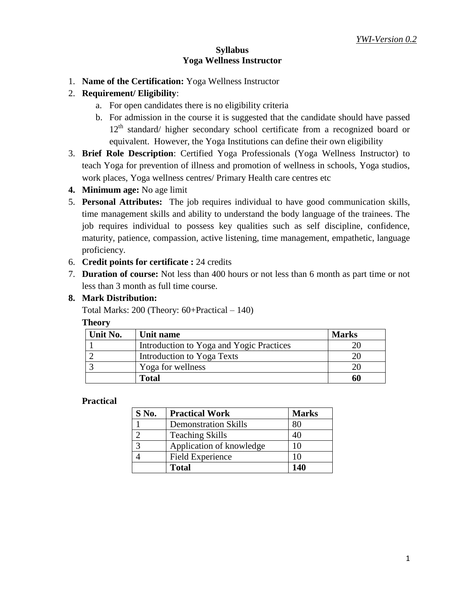#### **Syllabus Yoga Wellness Instructor**

- 1. **Name of the Certification:** Yoga Wellness Instructor
- 2. **Requirement/ Eligibility**:
	- a. For open candidates there is no eligibility criteria
	- b. For admission in the course it is suggested that the candidate should have passed 12<sup>th</sup> standard/ higher secondary school certificate from a recognized board or equivalent. However, the Yoga Institutions can define their own eligibility
- 3. **Brief Role Description**: Certified Yoga Professionals (Yoga Wellness Instructor) to teach Yoga for prevention of illness and promotion of wellness in schools, Yoga studios, work places, Yoga wellness centres/ Primary Health care centres etc
- **4. Minimum age:** No age limit
- 5. **Personal Attributes:** The job requires individual to have good communication skills, time management skills and ability to understand the body language of the trainees. The job requires individual to possess key qualities such as self discipline, confidence, maturity, patience, compassion, active listening, time management, empathetic, language proficiency.
- 6. **Credit points for certificate :** 24 credits
- 7. **Duration of course:** Not less than 400 hours or not less than 6 month as part time or not less than 3 month as full time course.

#### **8. Mark Distribution:**

Total Marks: 200 (Theory: 60+Practical – 140)

#### **Theory**

| Unit No. | Unit name                                | <b>Marks</b> |
|----------|------------------------------------------|--------------|
|          | Introduction to Yoga and Yogic Practices |              |
|          | Introduction to Yoga Texts               |              |
|          | Yoga for wellness                        |              |
|          | <b>Total</b>                             |              |

#### **Practical**

| $S$ No. | <b>Practical Work</b>       | <b>Marks</b> |
|---------|-----------------------------|--------------|
|         | <b>Demonstration Skills</b> | 80           |
|         | <b>Teaching Skills</b>      | 40           |
| 3       | Application of knowledge    | 10           |
|         | <b>Field Experience</b>     | 10           |
|         | <b>Total</b>                | 140          |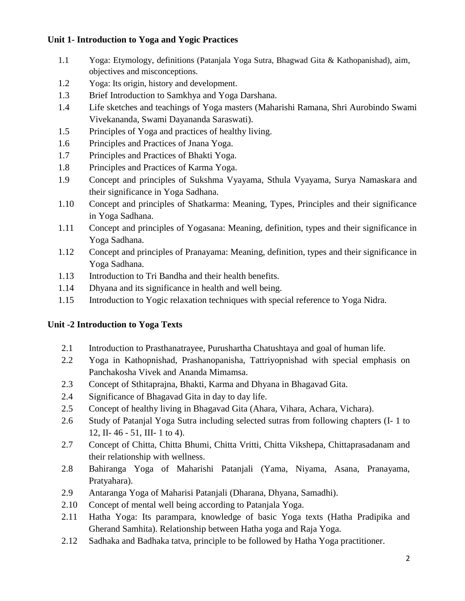### **Unit 1- Introduction to Yoga and Yogic Practices**

- 1.1 Yoga: Etymology, definitions (Patanjala Yoga Sutra, Bhagwad Gita & Kathopanishad), aim, objectives and misconceptions.
- 1.2 Yoga: Its origin, history and development.
- 1.3 Brief Introduction to Samkhya and Yoga Darshana.
- 1.4 Life sketches and teachings of Yoga masters (Maharishi Ramana, Shri Aurobindo Swami Vivekananda, Swami Dayananda Saraswati).
- 1.5 Principles of Yoga and practices of healthy living.
- 1.6 Principles and Practices of Jnana Yoga.
- 1.7 Principles and Practices of Bhakti Yoga.
- 1.8 Principles and Practices of Karma Yoga.
- 1.9 Concept and principles of Sukshma Vyayama, Sthula Vyayama, Surya Namaskara and their significance in Yoga Sadhana.
- 1.10 Concept and principles of Shatkarma: Meaning, Types, Principles and their significance in Yoga Sadhana.
- 1.11 Concept and principles of Yogasana: Meaning, definition, types and their significance in Yoga Sadhana.
- 1.12 Concept and principles of Pranayama: Meaning, definition, types and their significance in Yoga Sadhana.
- 1.13 Introduction to Tri Bandha and their health benefits.
- 1.14 Dhyana and its significance in health and well being.
- 1.15 Introduction to Yogic relaxation techniques with special reference to Yoga Nidra.

### **Unit -2 Introduction to Yoga Texts**

- 2.1 Introduction to Prasthanatrayee, Purushartha Chatushtaya and goal of human life.
- 2.2 Yoga in Kathopnishad, Prashanopanisha, Tattriyopnishad with special emphasis on Panchakosha Vivek and Ananda Mimamsa.
- 2.3 Concept of Sthitaprajna, Bhakti, Karma and Dhyana in Bhagavad Gita.
- 2.4 Significance of Bhagavad Gita in day to day life.
- 2.5 Concept of healthy living in Bhagavad Gita (Ahara, Vihara, Achara, Vichara).
- 2.6 Study of Patanjal Yoga Sutra including selected sutras from following chapters (I- 1 to 12, II- 46 - 51, III- 1 to 4).
- 2.7 Concept of Chitta, Chitta Bhumi, Chitta Vritti, Chitta Vikshepa, Chittaprasadanam and their relationship with wellness.
- 2.8 Bahiranga Yoga of Maharishi Patanjali (Yama, Niyama, Asana, Pranayama, Pratyahara).
- 2.9 Antaranga Yoga of Maharisi Patanjali (Dharana, Dhyana, Samadhi).
- 2.10 Concept of mental well being according to Patanjala Yoga.
- 2.11 Hatha Yoga: Its parampara, knowledge of basic Yoga texts (Hatha Pradipika and Gherand Samhita). Relationship between Hatha yoga and Raja Yoga.
- 2.12 Sadhaka and Badhaka tatva, principle to be followed by Hatha Yoga practitioner.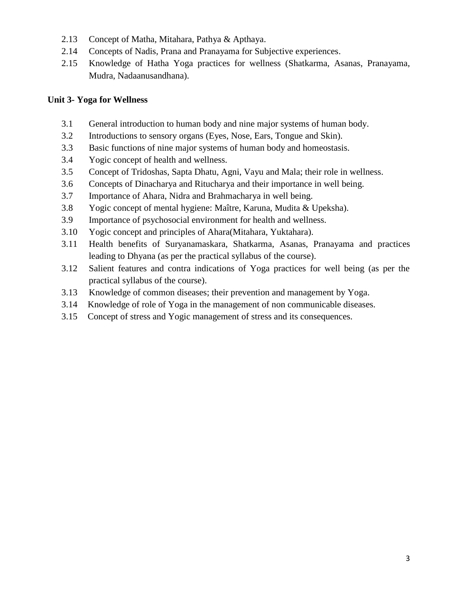- 2.13 Concept of Matha, Mitahara, Pathya & Apthaya.
- 2.14 Concepts of Nadis, Prana and Pranayama for Subjective experiences.
- 2.15 Knowledge of Hatha Yoga practices for wellness (Shatkarma, Asanas, Pranayama, Mudra, Nadaanusandhana).

### **Unit 3- Yoga for Wellness**

- 3.1 General introduction to human body and nine major systems of human body.
- 3.2 Introductions to sensory organs (Eyes, Nose, Ears, Tongue and Skin).
- 3.3 Basic functions of nine major systems of human body and homeostasis.
- 3.4 Yogic concept of health and wellness.
- 3.5 Concept of Tridoshas, Sapta Dhatu, Agni, Vayu and Mala; their role in wellness.
- 3.6 Concepts of Dinacharya and Ritucharya and their importance in well being.
- 3.7 Importance of Ahara, Nidra and Brahmacharya in well being.
- 3.8 Yogic concept of mental hygiene: Maître, Karuna, Mudita & Upeksha).
- 3.9 Importance of psychosocial environment for health and wellness.
- 3.10 Yogic concept and principles of Ahara(Mitahara, Yuktahara).
- 3.11 Health benefits of Suryanamaskara, Shatkarma, Asanas, Pranayama and practices leading to Dhyana (as per the practical syllabus of the course).
- 3.12 Salient features and contra indications of Yoga practices for well being (as per the practical syllabus of the course).
- 3.13 Knowledge of common diseases; their prevention and management by Yoga.
- 3.14 Knowledge of role of Yoga in the management of non communicable diseases.
- 3.15 Concept of stress and Yogic management of stress and its consequences.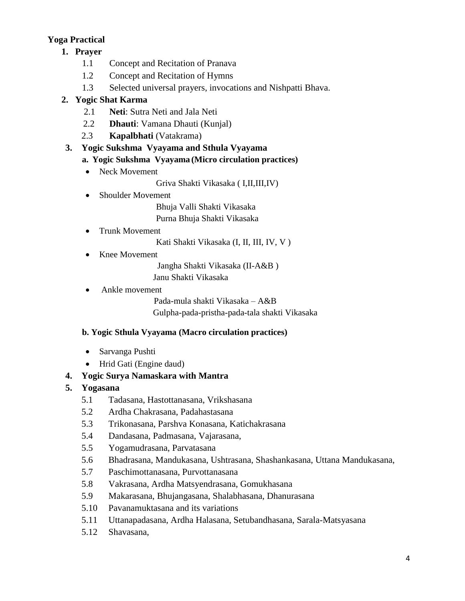# **Yoga Practical**

- **1. Prayer** 
	- 1.1 Concept and Recitation of Pranava
	- 1.2 Concept and Recitation of Hymns
	- 1.3 Selected universal prayers, invocations and Nishpatti Bhava.

# **2. Yogic Shat Karma**

- 2.1 **Neti**: Sutra Neti and Jala Neti
- 2.2 **Dhauti**: Vamana Dhauti (Kunjal)
- 2.3 **Kapalbhati** (Vatakrama)

# **3. Yogic Sukshma Vyayama and Sthula Vyayama**

## **a. Yogic Sukshma Vyayama (Micro circulation practices)**

- Neck Movement
	- Griva Shakti Vikasaka ( I,II,III,IV)
- Shoulder Movement

 Bhuja Valli Shakti Vikasaka Purna Bhuja Shakti Vikasaka

• Trunk Movement

Kati Shakti Vikasaka (I, II, III, IV, V )

Knee Movement

Jangha Shakti Vikasaka (II-A&B )

Janu Shakti Vikasaka

Ankle movement

Pada-mula shakti Vikasaka – A&B

Gulpha-pada-pristha-pada-tala shakti Vikasaka

### **b. Yogic Sthula Vyayama (Macro circulation practices)**

- Sarvanga Pushti
- Hrid Gati (Engine daud)

# **4. Yogic Surya Namaskara with Mantra**

### **5. Yogasana**

- 5.1 Tadasana, Hastottanasana, Vrikshasana
- 5.2 Ardha Chakrasana, Padahastasana
- 5.3 Trikonasana, Parshva Konasana, Katichakrasana
- 5.4 Dandasana, Padmasana, Vajarasana,
- 5.5 Yogamudrasana, Parvatasana
- 5.6 Bhadrasana, Mandukasana, Ushtrasana, Shashankasana, Uttana Mandukasana,
- 5.7 Paschimottanasana, Purvottanasana
- 5.8 Vakrasana, Ardha Matsyendrasana, Gomukhasana
- 5.9 Makarasana, Bhujangasana, Shalabhasana, Dhanurasana
- 5.10 Pavanamuktasana and its variations
- 5.11 Uttanapadasana, Ardha Halasana, Setubandhasana, Sarala-Matsyasana
- 5.12 Shavasana,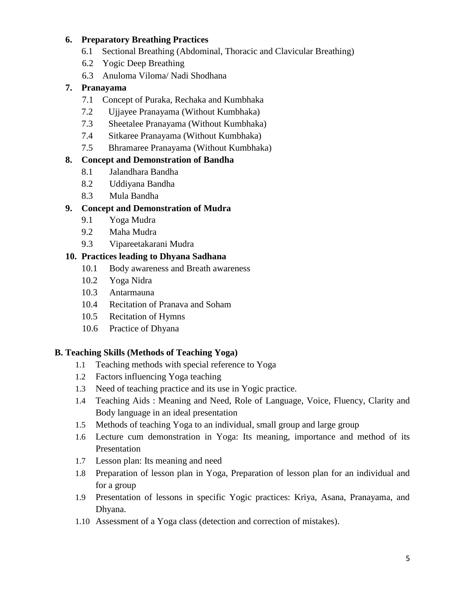### **6. Preparatory Breathing Practices**

- 6.1 Sectional Breathing (Abdominal, Thoracic and Clavicular Breathing)
- 6.2 Yogic Deep Breathing
- 6.3 Anuloma Viloma/ Nadi Shodhana

### **7. Pranayama**

- 7.1 Concept of Puraka, Rechaka and Kumbhaka
- 7.2 Ujjayee Pranayama (Without Kumbhaka)
- 7.3 Sheetalee Pranayama (Without Kumbhaka)
- 7.4 Sitkaree Pranayama (Without Kumbhaka)
- 7.5 Bhramaree Pranayama (Without Kumbhaka)

### **8. Concept and Demonstration of Bandha**

- 8.1 Jalandhara Bandha
- 8.2 Uddiyana Bandha
- 8.3 Mula Bandha

### **9. Concept and Demonstration of Mudra**

- 9.1 Yoga Mudra
- 9.2 Maha Mudra
- 9.3 Vipareetakarani Mudra

### **10. Practices leading to Dhyana Sadhana**

- 10.1 Body awareness and Breath awareness
- 10.2 Yoga Nidra
- 10.3 Antarmauna
- 10.4 Recitation of Pranava and Soham
- 10.5 Recitation of Hymns
- 10.6 Practice of Dhyana

### **B. Teaching Skills (Methods of Teaching Yoga)**

- 1.1 Teaching methods with special reference to Yoga
- 1.2 Factors influencing Yoga teaching
- 1.3 Need of teaching practice and its use in Yogic practice.
- 1.4 Teaching Aids : Meaning and Need, Role of Language, Voice, Fluency, Clarity and Body language in an ideal presentation
- 1.5 Methods of teaching Yoga to an individual, small group and large group
- 1.6 Lecture cum demonstration in Yoga: Its meaning, importance and method of its Presentation
- 1.7 Lesson plan: Its meaning and need
- 1.8 Preparation of lesson plan in Yoga, Preparation of lesson plan for an individual and for a group
- 1.9 Presentation of lessons in specific Yogic practices: Kriya, Asana, Pranayama, and Dhyana.
- 1.10 Assessment of a Yoga class (detection and correction of mistakes).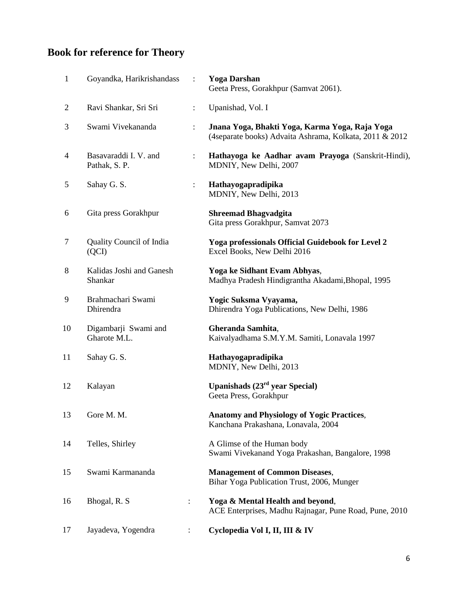# **Book for reference for Theory**

| $\mathbf{1}$   | Goyandka, Harikrishandass              | $\ddot{\cdot}$ | <b>Yoga Darshan</b><br>Geeta Press, Gorakhpur (Samvat 2061).                                              |
|----------------|----------------------------------------|----------------|-----------------------------------------------------------------------------------------------------------|
| $\overline{2}$ | Ravi Shankar, Sri Sri                  | $\ddot{\cdot}$ | Upanishad, Vol. I                                                                                         |
| 3              | Swami Vivekananda                      | $\ddot{\cdot}$ | Jnana Yoga, Bhakti Yoga, Karma Yoga, Raja Yoga<br>(4separate books) Advaita Ashrama, Kolkata, 2011 & 2012 |
| $\overline{4}$ | Basavaraddi I. V. and<br>Pathak, S. P. | $\ddot{\cdot}$ | Hathayoga ke Aadhar avam Prayoga (Sanskrit-Hindi),<br>MDNIY, New Delhi, 2007                              |
| 5              | Sahay G. S.                            |                | Hathayogapradipika<br>MDNIY, New Delhi, 2013                                                              |
| 6              | Gita press Gorakhpur                   |                | <b>Shreemad Bhagvadgita</b><br>Gita press Gorakhpur, Samvat 2073                                          |
| 7              | Quality Council of India<br>(QCI)      |                | Yoga professionals Official Guidebook for Level 2<br>Excel Books, New Delhi 2016                          |
| 8              | Kalidas Joshi and Ganesh<br>Shankar    |                | Yoga ke Sidhant Evam Abhyas,<br>Madhya Pradesh Hindigrantha Akadami, Bhopal, 1995                         |
| 9              | Brahmachari Swami<br>Dhirendra         |                | Yogic Suksma Vyayama,<br>Dhirendra Yoga Publications, New Delhi, 1986                                     |
| 10             | Digambarji Swami and<br>Gharote M.L.   |                | Gheranda Samhita,<br>Kaivalyadhama S.M.Y.M. Samiti, Lonavala 1997                                         |
| 11             | Sahay G. S.                            |                | Hathayogapradipika<br>MDNIY, New Delhi, 2013                                                              |
| 12             | Kalayan                                |                | Upanishads $(23rd$ year Special)<br>Geeta Press, Gorakhpur                                                |
| 13             | Gore M. M.                             |                | <b>Anatomy and Physiology of Yogic Practices,</b><br>Kanchana Prakashana, Lonavala, 2004                  |
| 14             | Telles, Shirley                        |                | A Glimse of the Human body<br>Swami Vivekanand Yoga Prakashan, Bangalore, 1998                            |
| 15             | Swami Karmananda                       |                | <b>Management of Common Diseases,</b><br>Bihar Yoga Publication Trust, 2006, Munger                       |
| 16             | Bhogal, R. S.                          | $\vdots$       | Yoga & Mental Health and beyond,<br>ACE Enterprises, Madhu Rajnagar, Pune Road, Pune, 2010                |
| 17             | Jayadeva, Yogendra                     |                | Cyclopedia Vol I, II, III & IV                                                                            |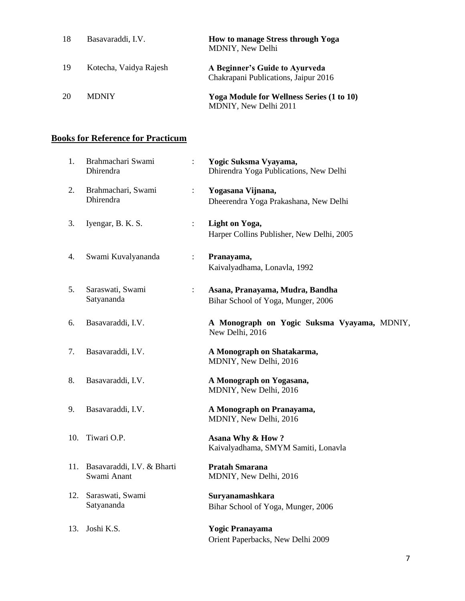| 18 | Basavaraddi, I.V.      | <b>How to manage Stress through Yoga</b><br><b>MDNIY, New Delhi</b>       |
|----|------------------------|---------------------------------------------------------------------------|
| 19 | Kotecha, Vaidya Rajesh | A Beginner's Guide to Ayurveda<br>Chakrapani Publications, Jaipur 2016    |
| 20 | <b>MDNIY</b>           | <b>Yoga Module for Wellness Series (1 to 10)</b><br>MDNIY, New Delhi 2011 |

### **Books for Reference for Practicum**

| 1.  | Brahmachari Swami<br>Dhirendra                | $\ddot{\cdot}$ | Yogic Suksma Vyayama,<br>Dhirendra Yoga Publications, New Delhi       |
|-----|-----------------------------------------------|----------------|-----------------------------------------------------------------------|
| 2.  | Brahmachari, Swami<br>Dhirendra               | $\ddot{\cdot}$ | Yogasana Vijnana,<br>Dheerendra Yoga Prakashana, New Delhi            |
| 3.  | Iyengar, B. K. S.                             | $\ddot{\cdot}$ | <b>Light on Yoga,</b><br>Harper Collins Publisher, New Delhi, 2005    |
| 4.  | Swami Kuvalyananda                            | $\ddot{\cdot}$ | Pranayama,<br>Kaivalyadhama, Lonavla, 1992                            |
| 5.  | Saraswati, Swami<br>Satyananda                | $\ddot{\cdot}$ | Asana, Pranayama, Mudra, Bandha<br>Bihar School of Yoga, Munger, 2006 |
| 6.  | Basavaraddi, I.V.                             |                | A Monograph on Yogic Suksma Vyayama, MDNIY,<br>New Delhi, 2016        |
| 7.  | Basavaraddi, I.V.                             |                | A Monograph on Shatakarma,<br>MDNIY, New Delhi, 2016                  |
| 8.  | Basavaraddi, I.V.                             |                | A Monograph on Yogasana,<br>MDNIY, New Delhi, 2016                    |
| 9.  | Basavaraddi, I.V.                             |                | A Monograph on Pranayama,<br>MDNIY, New Delhi, 2016                   |
| 10. | Tiwari O.P.                                   |                | Asana Why & How?<br>Kaivalyadhama, SMYM Samiti, Lonavla               |
|     | 11. Basavaraddi, I.V. & Bharti<br>Swami Anant |                | <b>Pratah Smarana</b><br>MDNIY, New Delhi, 2016                       |
| 12. | Saraswati, Swami<br>Satyananda                |                | Suryanamashkara<br>Bihar School of Yoga, Munger, 2006                 |
| 13. | Joshi K.S.                                    |                | <b>Yogic Pranayama</b><br>Orient Paperbacks, New Delhi 2009           |